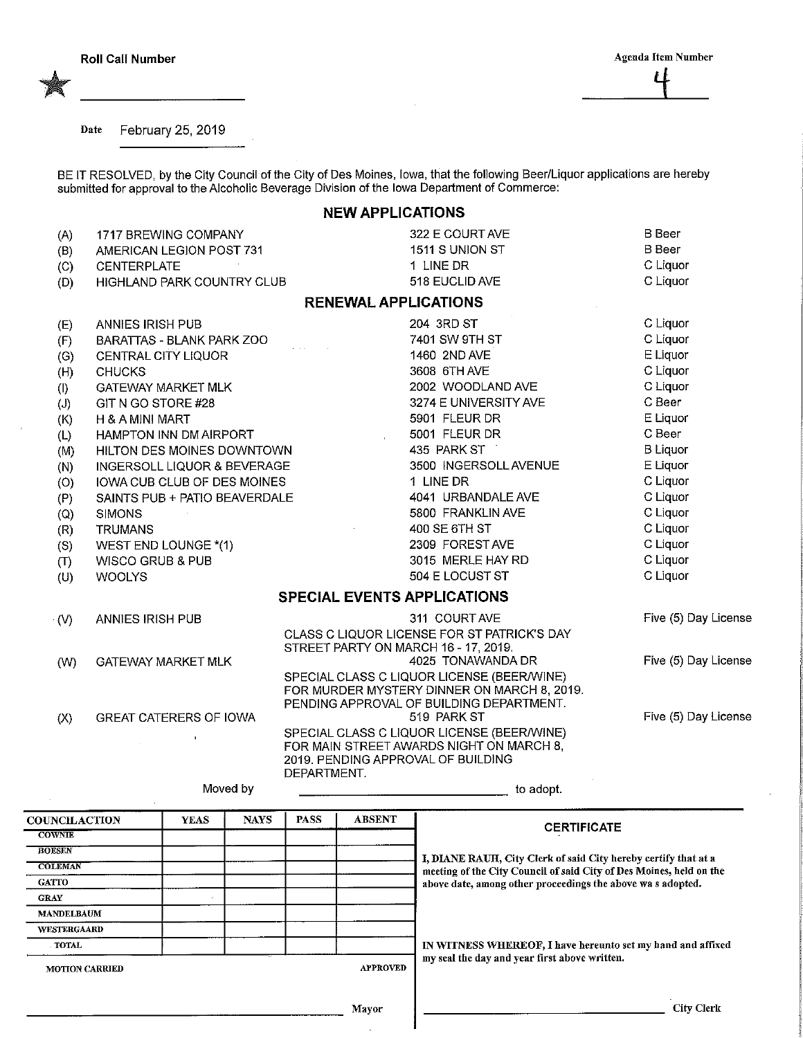Date February 25, 2019

BE IT RESOLVED, by the City Council of the City of Des Moines, Iowa, that the following Beer/Liquor applications are hereby submitted for approval to the Alcoholic Beverage Division of the Iowa Department of Commerce:

## NEW APPLICATIONS

| (A)         | 1717 BREWING COMPANY             | 322 E COURT AVE                                                                           | <b>B</b> Beer        |
|-------------|----------------------------------|-------------------------------------------------------------------------------------------|----------------------|
| (B)         | AMERICAN LEGION POST 731         | 1511 S UNION ST                                                                           | <b>B</b> Beer        |
| (C)         | <b>CENTERPLATE</b>               | 1 LINE DR                                                                                 | C Liquor             |
| (D)         | HIGHLAND PARK COUNTRY CLUB       | 518 EUCLID AVE                                                                            | C Liquor             |
|             |                                  | <b>RENEWAL APPLICATIONS</b>                                                               |                      |
| (E)         | ANNIES IRISH PUB                 | 204 3RD ST                                                                                | C Liquor             |
| (F)         | <b>BARATTAS - BLANK PARK ZOO</b> | 7401 SW 9TH ST                                                                            | C Liquor             |
| (G)         | CENTRAL CITY LIQUOR              | 1460 2ND AVE                                                                              | E Liquor             |
| (H)         | <b>CHUCKS</b>                    | 3608 6TH AVE                                                                              | C Liquor             |
| (1)         | <b>GATEWAY MARKET MLK</b>        | 2002 WOODLAND AVE                                                                         | C Liquor             |
| (J)         | GIT N GO STORE #28               | 3274 E UNIVERSITY AVE                                                                     | C Beer               |
| (K)         | H & A MINI MART                  | 5901 FLEUR DR                                                                             | E Liquor             |
| (L)         | HAMPTON INN DM AIRPORT           | 5001 FLEUR DR<br>$\sim$                                                                   | C Beer               |
| (M)         | HILTON DES MOINES DOWNTOWN       | 435 PARK ST                                                                               | <b>B</b> Liquor      |
| (N)         | INGERSOLL LIQUOR & BEVERAGE      | 3500 INGERSOLL AVENUE                                                                     | E Liquor             |
| (O)         | IOWA CUB CLUB OF DES MOINES      | 1 LINE DR                                                                                 | C Liquor             |
| (P)         | SAINTS PUB + PATIO BEAVERDALE    | 4041 URBANDALE AVE                                                                        | C Liquor             |
| (Q)         | <b>SIMONS</b>                    | 5800 FRANKLIN AVE                                                                         | C Liquor             |
| (R)         | <b>TRUMANS</b>                   | 400 SE 6TH ST                                                                             | C Liquor             |
| (S)         | WEST END LOUNGE *(1)             | 2309 FORESTAVE                                                                            | C Liquor             |
| (T)         | <b>WISCO GRUB &amp; PUB</b>      | 3015 MERLE HAY RD                                                                         | C Liquor             |
| (U)         | <b>WOOLYS</b>                    | 504 E LOCUST ST                                                                           | C Liquor             |
|             |                                  | <b>SPECIAL EVENTS APPLICATIONS</b>                                                        |                      |
| $\cdot$ (V) | ANNIES IRISH PUB                 | 311 COURT AVE                                                                             | Five (5) Day License |
|             |                                  | CLASS C LIQUOR LICENSE FOR ST PATRICK'S DAY                                               |                      |
|             |                                  | STREET PARTY ON MARCH 16 - 17, 2019.                                                      |                      |
| (W)         | <b>GATEWAY MARKET MLK</b>        | 4025 TONAWANDA DR                                                                         | Five (5) Day License |
|             |                                  | SPECIAL CLASS C LIQUOR LICENSE (BEER/WINE)<br>FOR MURDER MYSTERY DINNER ON MARCH 8, 2019. |                      |
|             |                                  | PENDING APPROVAL OF BUILDING DEPARTMENT.                                                  |                      |
| (X)         | <b>GREAT CATERERS OF IOWA</b>    | 519 PARK ST                                                                               | Five (5) Day License |
|             | $\ddot{\phantom{a}}$             | SPECIAL CLASS C LIQUOR LICENSE (BEER/WINE)                                                |                      |
|             |                                  | FOR MAIN STREET AWARDS NIGHT ON MARCH 8,                                                  |                      |
|             |                                  | 2019. PENDING APPROVAL OF BUILDING                                                        |                      |
|             |                                  | DEPARTMENT.                                                                               |                      |

Moved by

to adopt.

**COUNCILACTION COWNIE** BOESEN **COLEMAN** GATTO GRAY MANDELBAUM WESTERGAARB TOTAL YEAS | NAYS | PASS | ABSENT MOTION CARRIED APPROVED **CERTIFICATE** I, DIANE RAVH, City Clerk of said City hereby certify that at a meeting of the City Council of said City of Des Moines, held on the above date, among other proceedings the above wa s adopted. IN WITNESS WHEREOF, I have hereunto set my hand and affixed my seal the day and year first above written.

Mayor

City Clerk